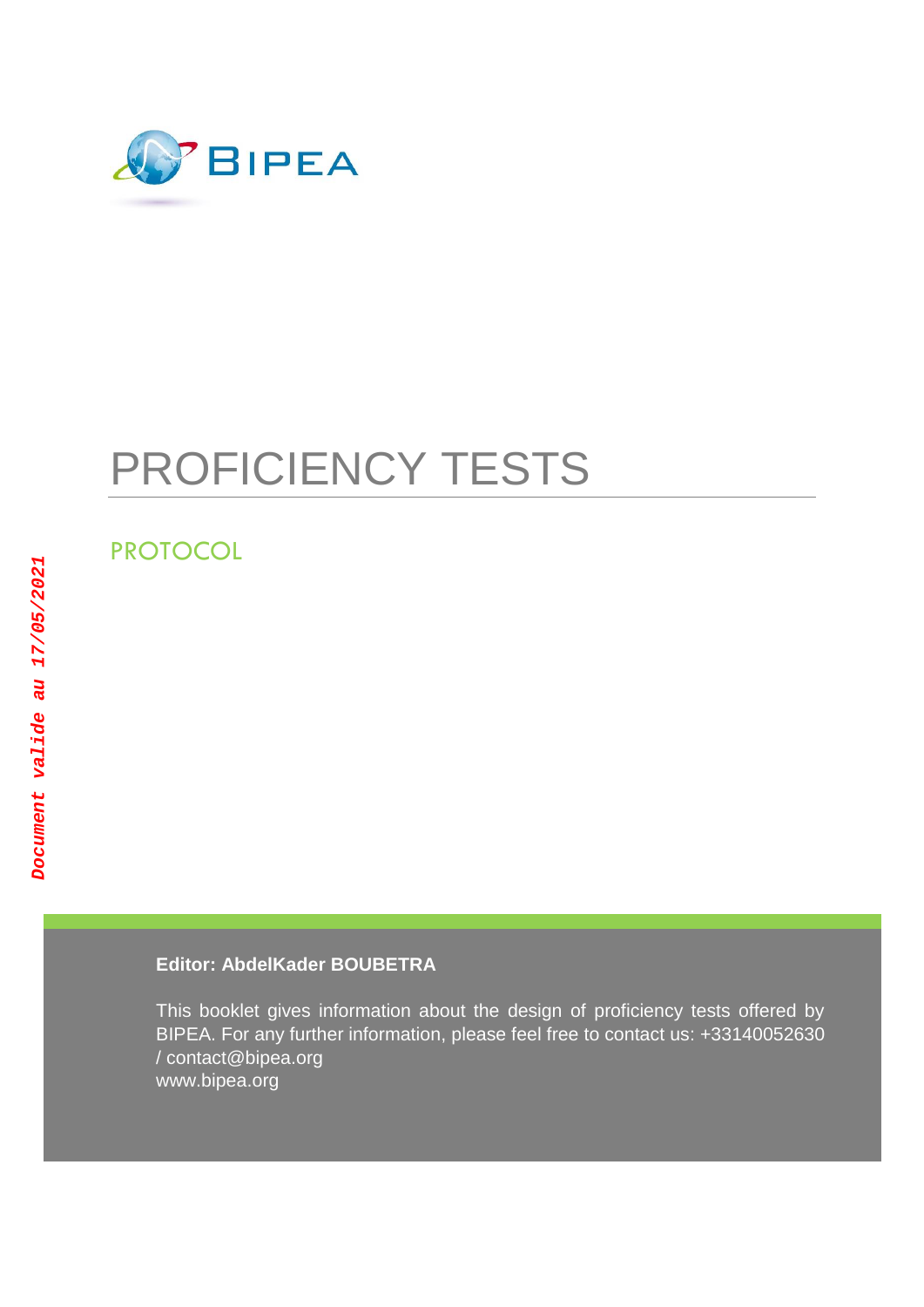

# PROFICIENCY TESTS

# PROTOCOL

# **Editor: AbdelKader BOUBETRA**

This booklet gives information about the design of proficiency tests offered by BIPEA. For any further information, please feel free to contact us: +33140052630 / contact@bipea.org www.bipea.org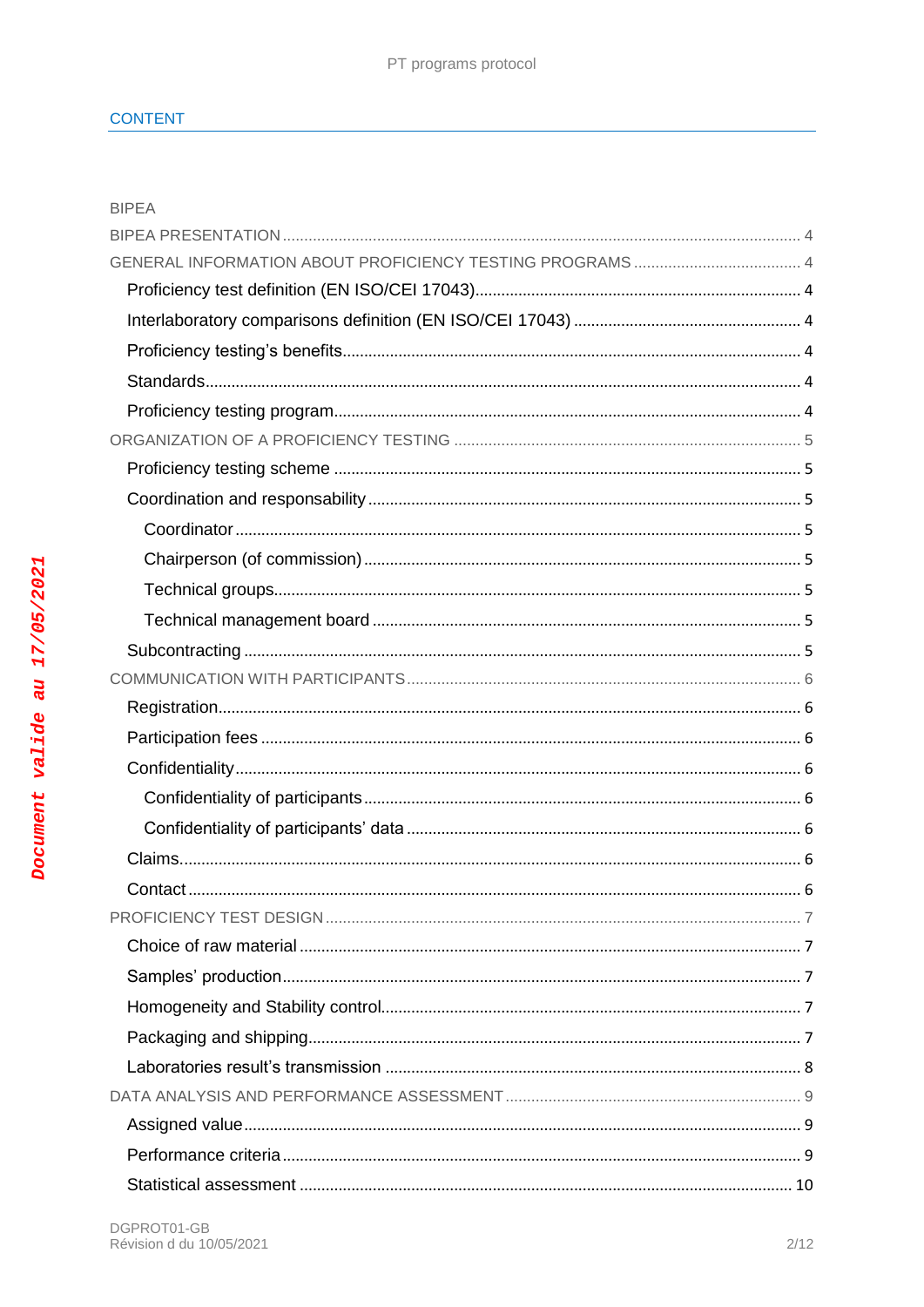| <b>BIPEA</b> |  |  |
|--------------|--|--|
|              |  |  |
|              |  |  |
|              |  |  |
|              |  |  |
|              |  |  |
|              |  |  |
|              |  |  |
|              |  |  |
|              |  |  |
|              |  |  |
|              |  |  |
|              |  |  |
|              |  |  |
|              |  |  |
|              |  |  |
|              |  |  |
|              |  |  |
|              |  |  |
|              |  |  |
|              |  |  |
|              |  |  |
|              |  |  |
|              |  |  |
|              |  |  |
|              |  |  |
|              |  |  |
|              |  |  |
|              |  |  |
|              |  |  |
|              |  |  |
|              |  |  |
|              |  |  |
|              |  |  |

Document valide au 17/05/2021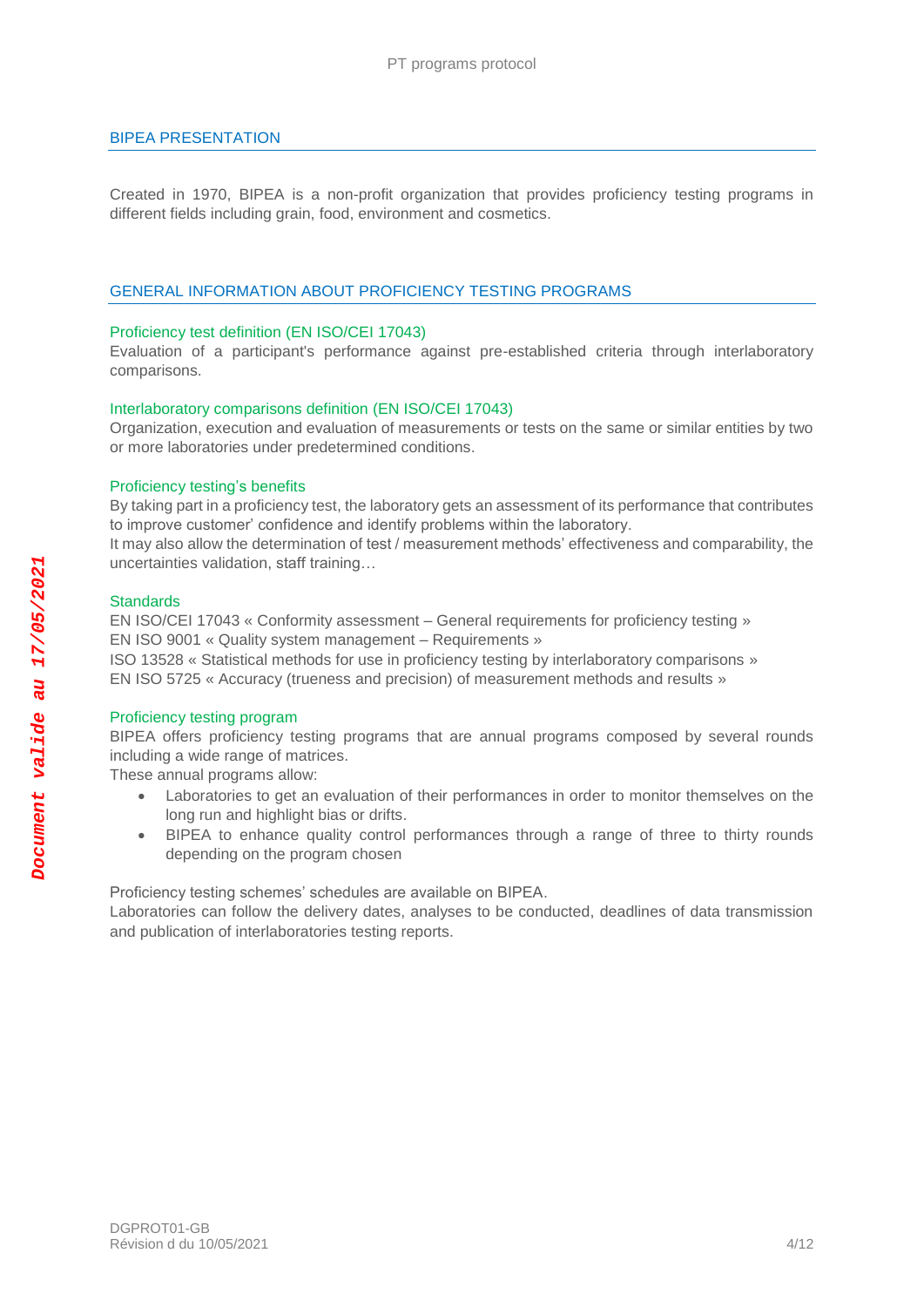# <span id="page-3-0"></span>BIPEA PRESENTATION

Created in 1970, BIPEA is a non-profit organization that provides proficiency testing programs in different fields including grain, food, environment and cosmetics.

# <span id="page-3-1"></span>GENERAL INFORMATION ABOUT PROFICIENCY TESTING PROGRAMS

#### <span id="page-3-2"></span>Proficiency test definition (EN ISO/CEI 17043)

Evaluation of a participant's performance against pre-established criteria through interlaboratory comparisons.

#### <span id="page-3-3"></span>Interlaboratory comparisons definition (EN ISO/CEI 17043)

Organization, execution and evaluation of measurements or tests on the same or similar entities by two or more laboratories under predetermined conditions.

#### <span id="page-3-4"></span>Proficiency testing's benefits

By taking part in a proficiency test, the laboratory gets an assessment of its performance that contributes to improve customer' confidence and identify problems within the laboratory.

It may also allow the determination of test / measurement methods' effectiveness and comparability, the uncertainties validation, staff training…

# <span id="page-3-5"></span>**Standards**

EN ISO/CEI 17043 « Conformity assessment – General requirements for proficiency testing » EN ISO 9001 « Quality system management – Requirements »

ISO 13528 « Statistical methods for use in proficiency testing by interlaboratory comparisons » EN ISO 5725 « Accuracy (trueness and precision) of measurement methods and results »

#### <span id="page-3-6"></span>Proficiency testing program

BIPEA offers proficiency testing programs that are annual programs composed by several rounds including a wide range of matrices.

These annual programs allow:

- Laboratories to get an evaluation of their performances in order to monitor themselves on the long run and highlight bias or drifts.
- BIPEA to enhance quality control performances through a range of three to thirty rounds depending on the program chosen

Proficiency testing schemes' schedules are available on BIPEA.

Laboratories can follow the delivery dates, analyses to be conducted, deadlines of data transmission and publication of interlaboratories testing reports.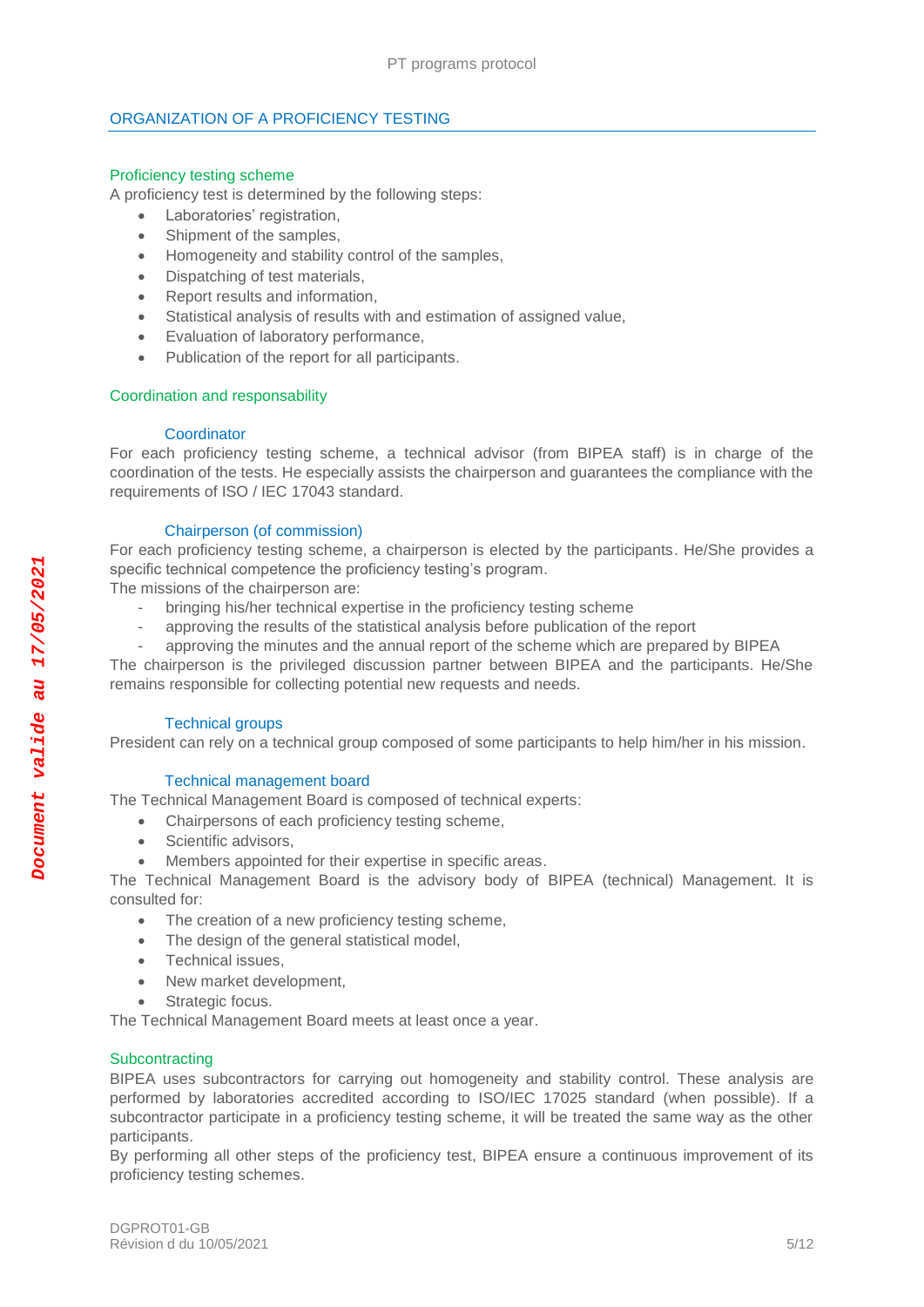# <span id="page-4-0"></span>ORGANIZATION OF A PROFICIENCY TESTING

# <span id="page-4-1"></span>Proficiency testing scheme

A proficiency test is determined by the following steps:

- Laboratories' registration,
- Shipment of the samples,
- Homogeneity and stability control of the samples,
- Dispatching of test materials,
- Report results and information,
- Statistical analysis of results with and estimation of assigned value,
- Evaluation of laboratory performance,
- Publication of the report for all participants.

#### <span id="page-4-2"></span>Coordination and responsability

#### **Coordinator**

<span id="page-4-3"></span>For each proficiency testing scheme, a technical advisor (from BIPEA staff) is in charge of the coordination of the tests. He especially assists the chairperson and guarantees the compliance with the requirements of ISO / IEC 17043 standard.

#### Chairperson (of commission)

<span id="page-4-4"></span>For each proficiency testing scheme, a chairperson is elected by the participants. He/She provides a specific technical competence the proficiency testing's program.

The missions of the chairperson are:

- bringing his/her technical expertise in the proficiency testing scheme
- approving the results of the statistical analysis before publication of the report
- approving the minutes and the annual report of the scheme which are prepared by BIPEA

The chairperson is the privileged discussion partner between BIPEA and the participants. He/She remains responsible for collecting potential new requests and needs.

#### Technical groups

<span id="page-4-5"></span>President can rely on a technical group composed of some participants to help him/her in his mission.

#### Technical management board

<span id="page-4-6"></span>The Technical Management Board is composed of technical experts:

- Chairpersons of each proficiency testing scheme,
- Scientific advisors,
- Members appointed for their expertise in specific areas.

The Technical Management Board is the advisory body of BIPEA (technical) Management. It is consulted for:

- The creation of a new proficiency testing scheme.
- The design of the general statistical model,
- Technical issues,
- New market development,
- Strategic focus.

The Technical Management Board meets at least once a year.

# <span id="page-4-7"></span>**Subcontracting**

BIPEA uses subcontractors for carrying out homogeneity and stability control. These analysis are performed by laboratories accredited according to ISO/IEC 17025 standard (when possible). If a subcontractor participate in a proficiency testing scheme, it will be treated the same way as the other participants.

By performing all other steps of the proficiency test, BIPEA ensure a continuous improvement of its proficiency testing schemes.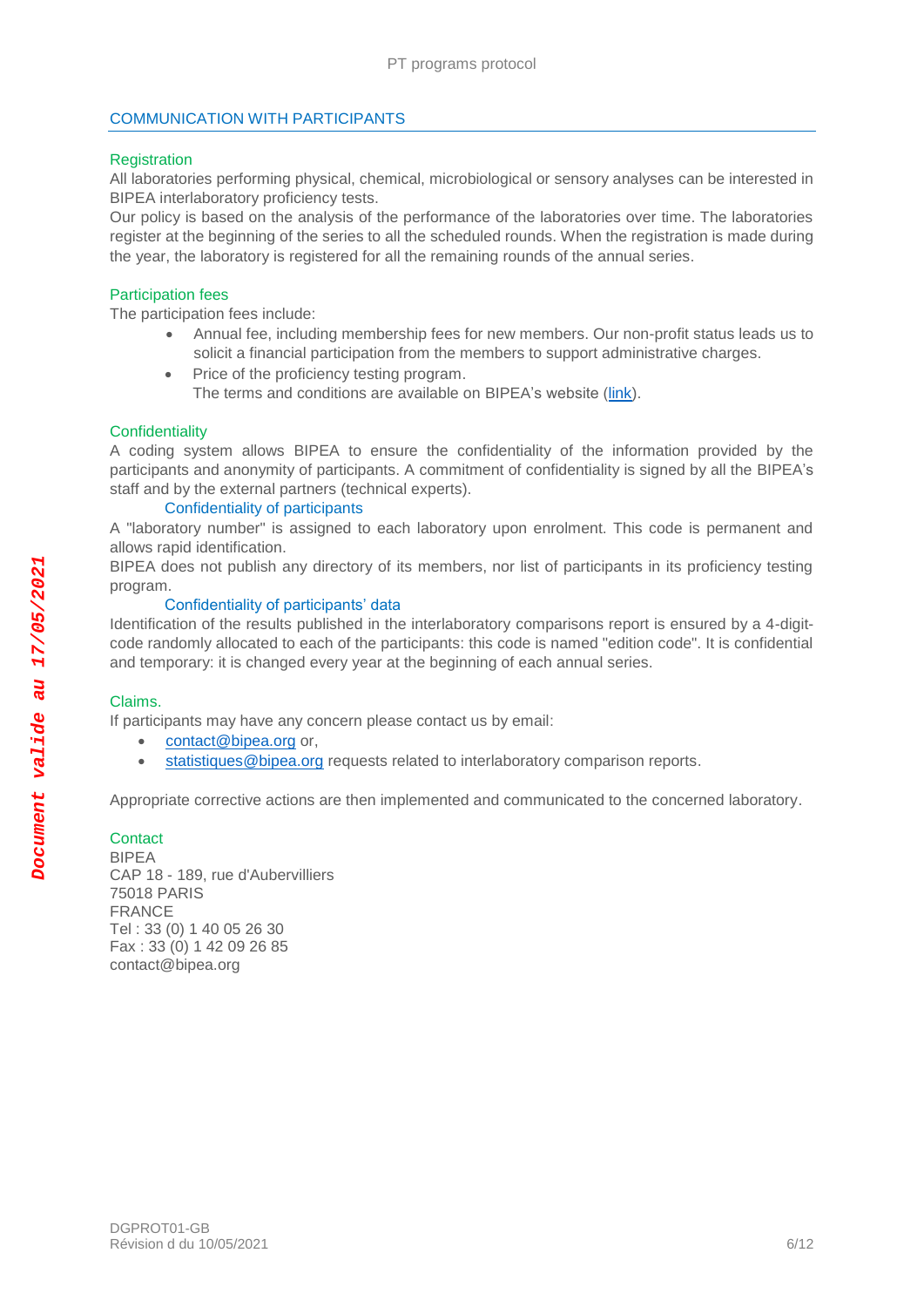# <span id="page-5-0"></span>COMMUNICATION WITH PARTICIPANTS

# <span id="page-5-1"></span>**Registration**

All laboratories performing physical, chemical, microbiological or sensory analyses can be interested in BIPEA interlaboratory proficiency tests.

Our policy is based on the analysis of the performance of the laboratories over time. The laboratories register at the beginning of the series to all the scheduled rounds. When the registration is made during the year, the laboratory is registered for all the remaining rounds of the annual series.

#### <span id="page-5-2"></span>Participation fees

The participation fees include:

- Annual fee, including membership fees for new members. Our non-profit status leads us to solicit a financial participation from the members to support administrative charges.
- Price of the proficiency testing program.
	- The terms and conditions are available on BIPEA's website [\(link\)](https://extranet.bipea.org/documents/information/GB/Standard-terms.pdf).

#### <span id="page-5-3"></span>**Confidentiality**

A coding system allows BIPEA to ensure the confidentiality of the information provided by the participants and anonymity of participants. A commitment of confidentiality is signed by all the BIPEA's staff and by the external partners (technical experts).

# Confidentiality of participants

<span id="page-5-4"></span>A "laboratory number" is assigned to each laboratory upon enrolment. This code is permanent and allows rapid identification.

BIPEA does not publish any directory of its members, nor list of participants in its proficiency testing program.

# Confidentiality of participants' data

<span id="page-5-5"></span>Identification of the results published in the interlaboratory comparisons report is ensured by a 4-digitcode randomly allocated to each of the participants: this code is named "edition code". It is confidential and temporary: it is changed every year at the beginning of each annual series.

#### <span id="page-5-6"></span>Claims.

If participants may have any concern please contact us by email:

- [contact@bipea.org](mailto:contact@bipea.org) or,
- [statistiques@bipea.org](mailto:statistiques@bipea.org) requests related to interlaboratory comparison reports.

Appropriate corrective actions are then implemented and communicated to the concerned laboratory.

# <span id="page-5-7"></span>**Contact**

BIPEA CAP 18 - 189, rue d'Aubervilliers 75018 PARIS FRANCE Tel : 33 (0) 1 40 05 26 30 Fax : 33 (0) 1 42 09 26 85 contact@bipea.org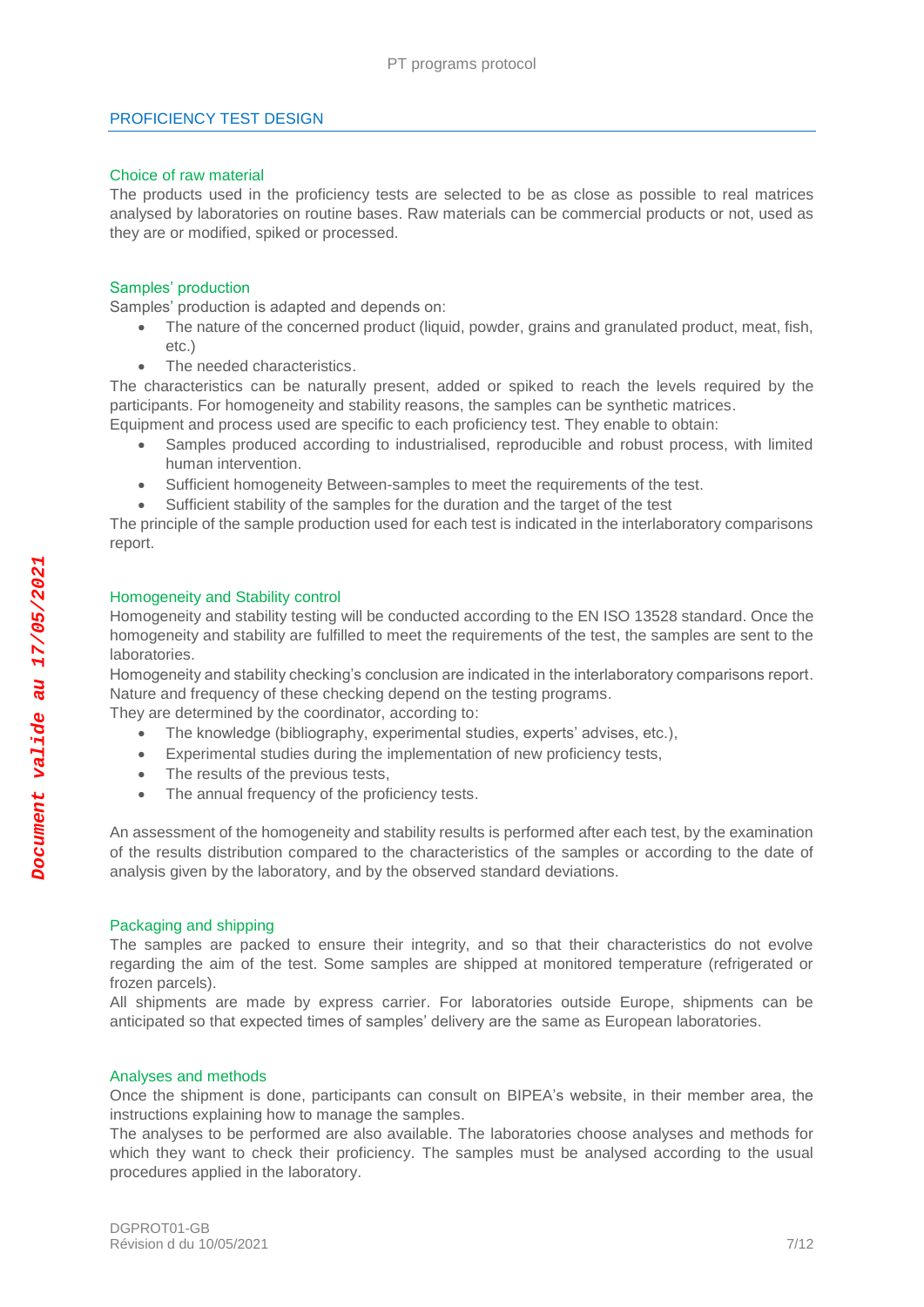# <span id="page-6-0"></span>PROFICIENCY TEST DESIGN

#### <span id="page-6-1"></span>Choice of raw material

The products used in the proficiency tests are selected to be as close as possible to real matrices analysed by laboratories on routine bases. Raw materials can be commercial products or not, used as they are or modified, spiked or processed.

# <span id="page-6-2"></span>Samples' production

Samples' production is adapted and depends on:

- The nature of the concerned product (liquid, powder, grains and granulated product, meat, fish, etc.)
- The needed characteristics.

The characteristics can be naturally present, added or spiked to reach the levels required by the participants. For homogeneity and stability reasons, the samples can be synthetic matrices. Equipment and process used are specific to each proficiency test. They enable to obtain:

- Samples produced according to industrialised, reproducible and robust process, with limited human intervention.
- Sufficient homogeneity Between-samples to meet the requirements of the test.
- Sufficient stability of the samples for the duration and the target of the test

The principle of the sample production used for each test is indicated in the interlaboratory comparisons report.

#### <span id="page-6-3"></span>Homogeneity and Stability control

Homogeneity and stability testing will be conducted according to the EN ISO 13528 standard. Once the homogeneity and stability are fulfilled to meet the requirements of the test, the samples are sent to the laboratories.

Homogeneity and stability checking's conclusion are indicated in the interlaboratory comparisons report. Nature and frequency of these checking depend on the testing programs.

They are determined by the coordinator, according to:

- The knowledge (bibliography, experimental studies, experts' advises, etc.),
- Experimental studies during the implementation of new proficiency tests,
- The results of the previous tests,
- The annual frequency of the proficiency tests.

An assessment of the homogeneity and stability results is performed after each test, by the examination of the results distribution compared to the characteristics of the samples or according to the date of analysis given by the laboratory, and by the observed standard deviations.

#### <span id="page-6-4"></span>Packaging and shipping

The samples are packed to ensure their integrity, and so that their characteristics do not evolve regarding the aim of the test. Some samples are shipped at monitored temperature (refrigerated or frozen parcels).

All shipments are made by express carrier. For laboratories outside Europe, shipments can be anticipated so that expected times of samples' delivery are the same as European laboratories.

# Analyses and methods

Once the shipment is done, participants can consult on BIPEA's website, in their member area, the instructions explaining how to manage the samples.

The analyses to be performed are also available. The laboratories choose analyses and methods for which they want to check their proficiency. The samples must be analysed according to the usual procedures applied in the laboratory.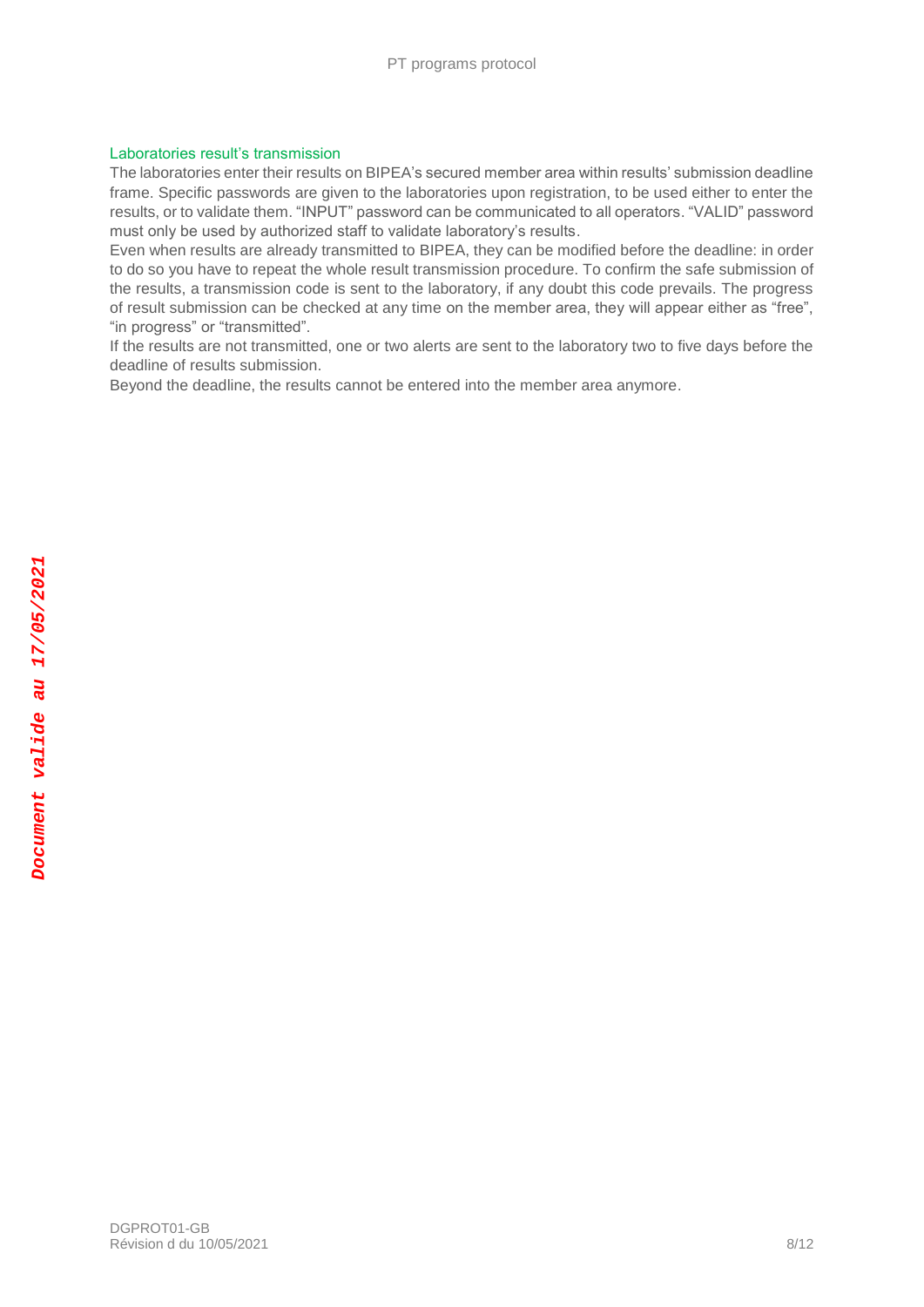# <span id="page-7-0"></span>Laboratories result's transmission

The laboratories enter their results on BIPEA's secured member area within results' submission deadline frame. Specific passwords are given to the laboratories upon registration, to be used either to enter the results, or to validate them. "INPUT" password can be communicated to all operators. "VALID" password must only be used by authorized staff to validate laboratory's results.

Even when results are already transmitted to BIPEA, they can be modified before the deadline: in order to do so you have to repeat the whole result transmission procedure. To confirm the safe submission of the results, a transmission code is sent to the laboratory, if any doubt this code prevails. The progress of result submission can be checked at any time on the member area, they will appear either as "free", "in progress" or "transmitted".

If the results are not transmitted, one or two alerts are sent to the laboratory two to five days before the deadline of results submission.

Beyond the deadline, the results cannot be entered into the member area anymore.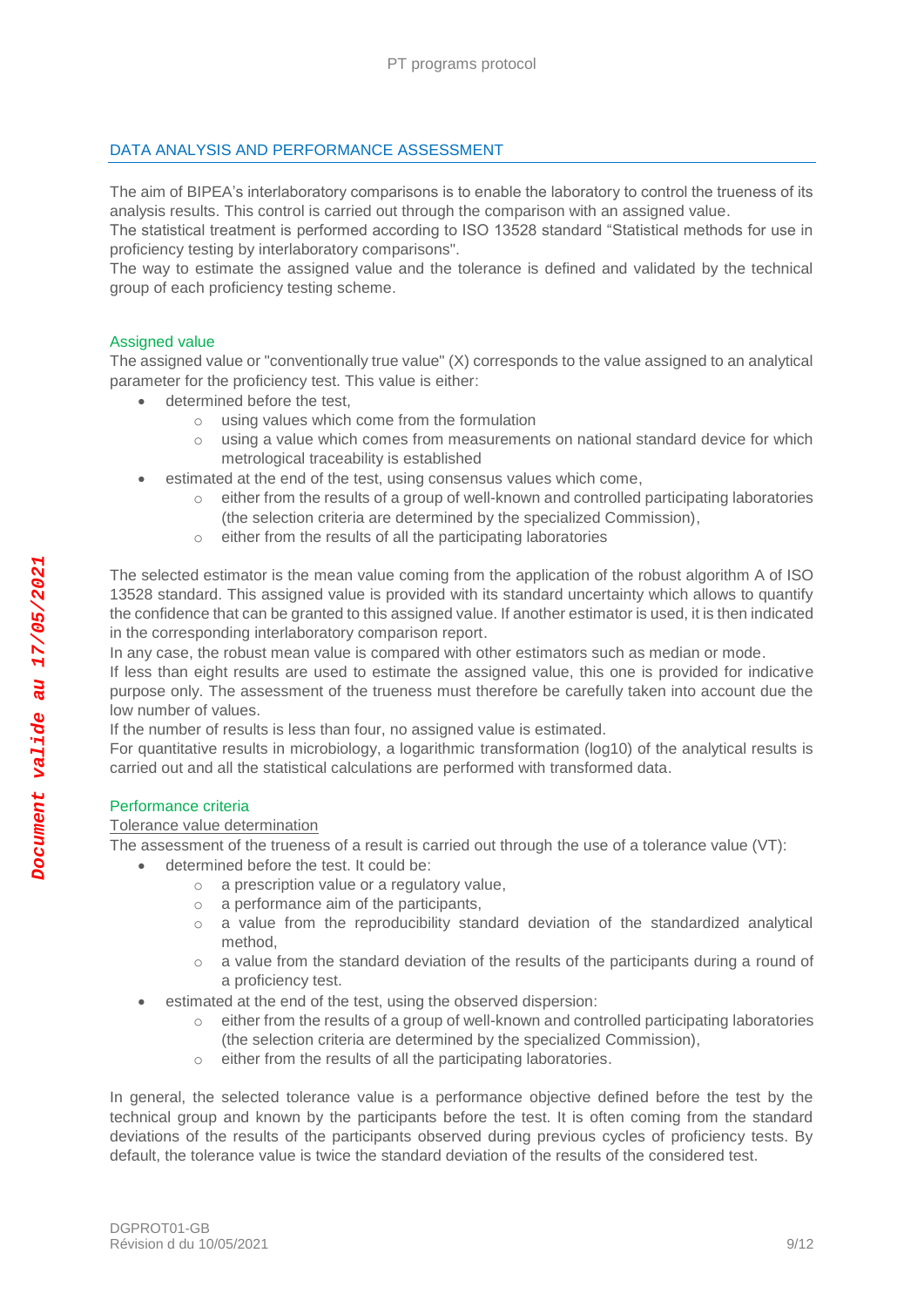# <span id="page-8-0"></span>DATA ANALYSIS AND PERFORMANCE ASSESSMENT

The aim of BIPEA's interlaboratory comparisons is to enable the laboratory to control the trueness of its analysis results. This control is carried out through the comparison with an assigned value.

The statistical treatment is performed according to ISO 13528 standard "Statistical methods for use in proficiency testing by interlaboratory comparisons".

The way to estimate the assigned value and the tolerance is defined and validated by the technical group of each proficiency testing scheme.

# <span id="page-8-1"></span>Assigned value

The assigned value or "conventionally true value" (X) corresponds to the value assigned to an analytical parameter for the proficiency test. This value is either:

- determined before the test,
	- o using values which come from the formulation
	- $\circ$  using a value which comes from measurements on national standard device for which metrological traceability is established
- estimated at the end of the test, using consensus values which come,
	- $\circ$  either from the results of a group of well-known and controlled participating laboratories (the selection criteria are determined by the specialized Commission),
	- o either from the results of all the participating laboratories

The selected estimator is the mean value coming from the application of the robust algorithm A of ISO 13528 standard. This assigned value is provided with its standard uncertainty which allows to quantify the confidence that can be granted to this assigned value. If another estimator is used, it is then indicated in the corresponding interlaboratory comparison report.

In any case, the robust mean value is compared with other estimators such as median or mode.

If less than eight results are used to estimate the assigned value, this one is provided for indicative purpose only. The assessment of the trueness must therefore be carefully taken into account due the low number of values.

If the number of results is less than four, no assigned value is estimated.

For quantitative results in microbiology, a logarithmic transformation (log10) of the analytical results is carried out and all the statistical calculations are performed with transformed data.

# <span id="page-8-2"></span>Performance criteria

# Tolerance value determination

The assessment of the trueness of a result is carried out through the use of a tolerance value (VT):

- determined before the test. It could be:
	- o a prescription value or a regulatory value,
	- o a performance aim of the participants,
	- $\circ$  a value from the reproducibility standard deviation of the standardized analytical method,
	- $\circ$  a value from the standard deviation of the results of the participants during a round of a proficiency test.
- estimated at the end of the test, using the observed dispersion:
	- o either from the results of a group of well-known and controlled participating laboratories (the selection criteria are determined by the specialized Commission),
	- o either from the results of all the participating laboratories.

In general, the selected tolerance value is a performance objective defined before the test by the technical group and known by the participants before the test. It is often coming from the standard deviations of the results of the participants observed during previous cycles of proficiency tests. By default, the tolerance value is twice the standard deviation of the results of the considered test.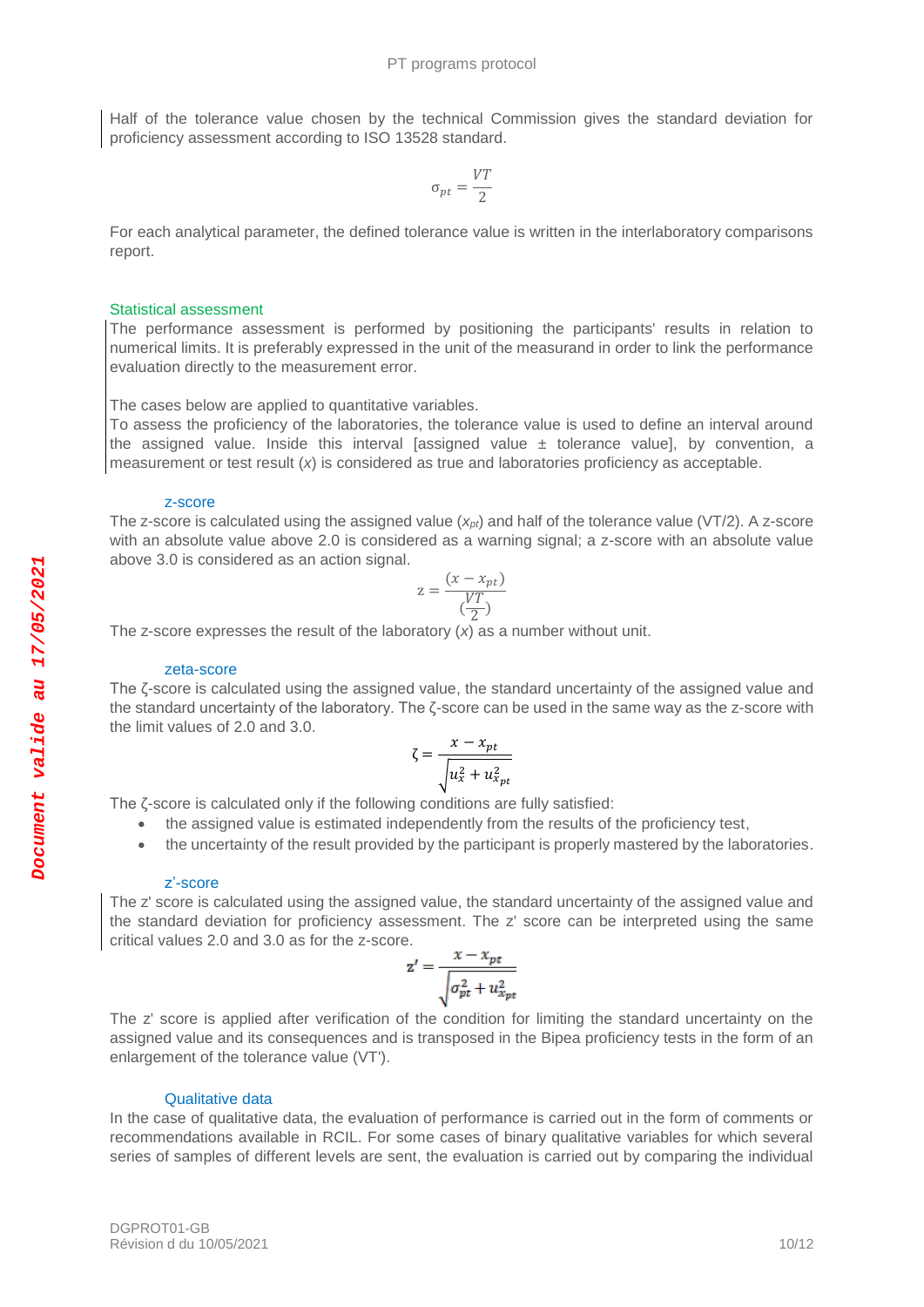Half of the tolerance value chosen by the technical Commission gives the standard deviation for proficiency assessment according to ISO 13528 standard.

$$
\sigma_{pt}=\frac{VT}{2}
$$

For each analytical parameter, the defined tolerance value is written in the interlaboratory comparisons report.

#### <span id="page-9-0"></span>Statistical assessment

The performance assessment is performed by positioning the participants' results in relation to numerical limits. It is preferably expressed in the unit of the measurand in order to link the performance evaluation directly to the measurement error.

The cases below are applied to quantitative variables.

To assess the proficiency of the laboratories, the tolerance value is used to define an interval around the assigned value. Inside this interval [assigned value  $\pm$  tolerance value], by convention, a measurement or test result (*x*) is considered as true and laboratories proficiency as acceptable.

#### z-score

<span id="page-9-1"></span>The z-score is calculated using the assigned value (*xpt*) and half of the tolerance value (VT/2). A z-score with an absolute value above 2.0 is considered as a warning signal; a z-score with an absolute value above 3.0 is considered as an action signal.

$$
z = \frac{(x - x_{pt})}{\left(\frac{VT}{2}\right)}
$$

The z-score expresses the result of the laboratory (*x*) as a number without unit.

#### zeta-score

<span id="page-9-2"></span>The ζ-score is calculated using the assigned value, the standard uncertainty of the assigned value and the standard uncertainty of the laboratory. The ζ-score can be used in the same way as the z-score with the limit values of 2.0 and 3.0.

$$
\zeta = \frac{x - x_{pt}}{\sqrt{u_x^2 + u_{x_{pt}}^2}}
$$

The ζ-score is calculated only if the following conditions are fully satisfied:

- the assigned value is estimated independently from the results of the proficiency test,
- the uncertainty of the result provided by the participant is properly mastered by the laboratories.

#### z'-score

<span id="page-9-3"></span>The z' score is calculated using the assigned value, the standard uncertainty of the assigned value and the standard deviation for proficiency assessment. The z' score can be interpreted using the same critical values 2.0 and 3.0 as for the z-score.

$$
\mathbf{z}' = \frac{x - x_{pt}}{\sqrt{\sigma_{pt}^2 + u_{x_{pt}}^2}}
$$

The z' score is applied after verification of the condition for limiting the standard uncertainty on the assigned value and its consequences and is transposed in the Bipea proficiency tests in the form of an enlargement of the tolerance value (VT').

#### Qualitative data

<span id="page-9-4"></span>In the case of qualitative data, the evaluation of performance is carried out in the form of comments or recommendations available in RCIL. For some cases of binary qualitative variables for which several series of samples of different levels are sent, the evaluation is carried out by comparing the individual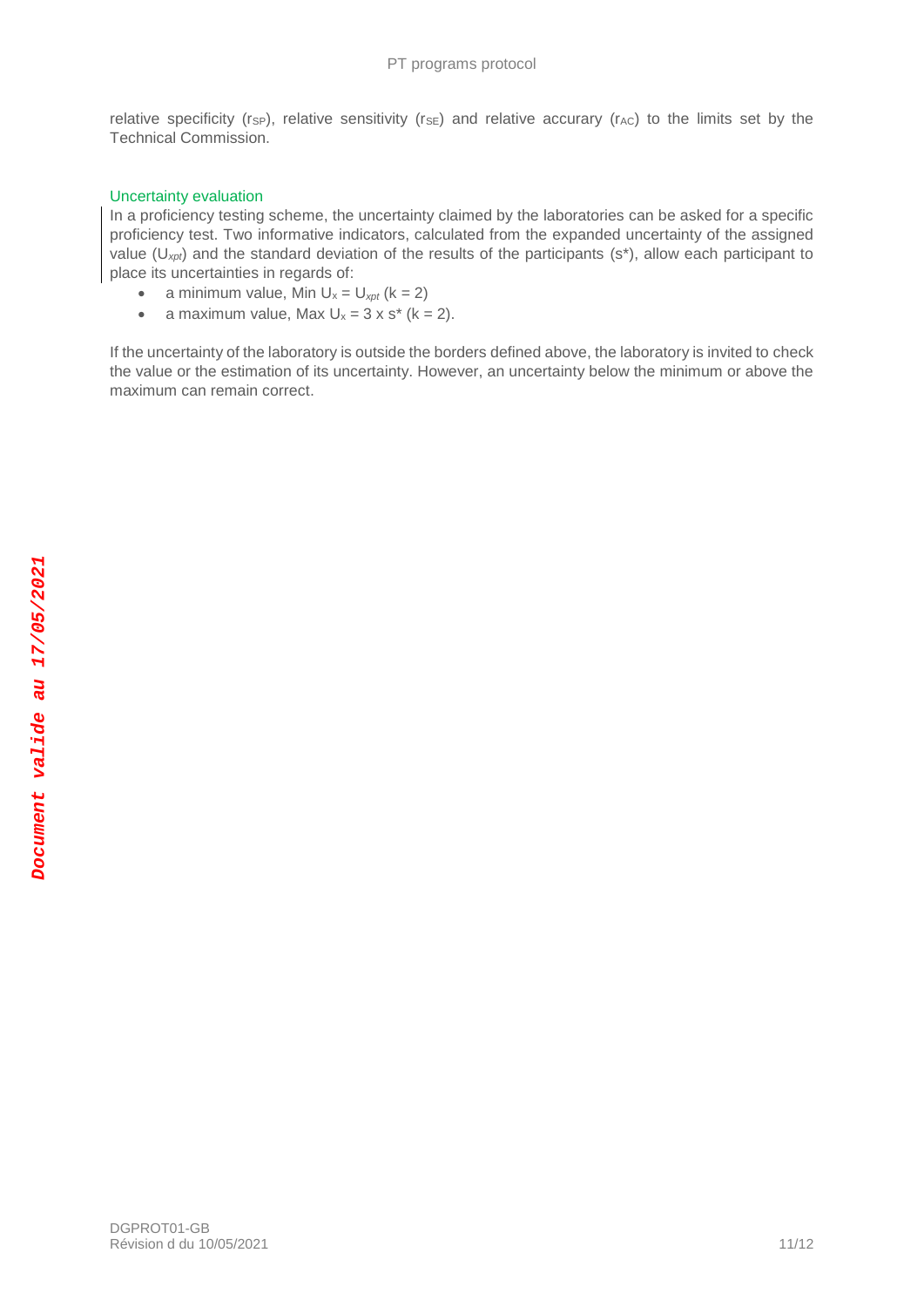relative specificity (rsp), relative sensitivity (rse) and relative accurary (rAC) to the limits set by the Technical Commission.

# <span id="page-10-0"></span>Uncertainty evaluation

In a proficiency testing scheme, the uncertainty claimed by the laboratories can be asked for a specific proficiency test. Two informative indicators, calculated from the expanded uncertainty of the assigned value (U*xpt*) and the standard deviation of the results of the participants (s\*), allow each participant to place its uncertainties in regards of:

- a minimum value, Min  $U_x = U_{xpt}$  ( $k = 2$ )
- a maximum value, Max  $U_x = 3 \times s^*$  ( $k = 2$ ).

If the uncertainty of the laboratory is outside the borders defined above, the laboratory is invited to check the value or the estimation of its uncertainty. However, an uncertainty below the minimum or above the maximum can remain correct.